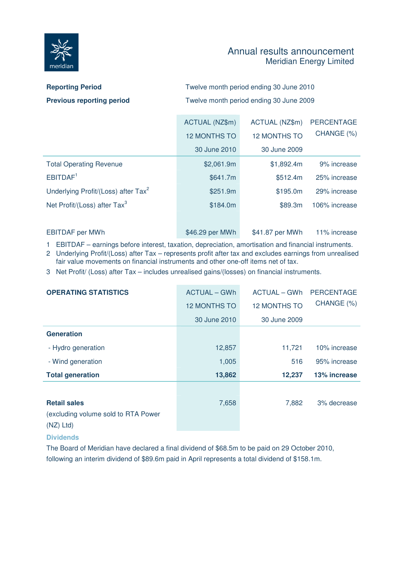

## Annual results announcement Meridian Energy Limited

| <b>Reporting Period</b>          | Twelve month period ending 30 June 2010 |
|----------------------------------|-----------------------------------------|
| <b>Previous reporting period</b> | Twelve month period ending 30 June 2009 |

|                                                 | ACTUAL (NZ\$m)      | ACTUAL (NZ\$m)      | <b>PERCENTAGE</b> |
|-------------------------------------------------|---------------------|---------------------|-------------------|
|                                                 | <b>12 MONTHS TO</b> | <b>12 MONTHS TO</b> | CHANGE (%)        |
|                                                 | 30 June 2010        | 30 June 2009        |                   |
| <b>Total Operating Revenue</b>                  | \$2,061.9m          | \$1,892.4m          | 9% increase       |
| EBITDAF <sup>1</sup>                            | \$641.7m            | \$512.4m            | 25% increase      |
| Underlying Profit/(Loss) after Tax <sup>2</sup> | \$251.9m            | \$195.0m            | 29% increase      |
| Net Profit/(Loss) after Tax <sup>3</sup>        | \$184.0m            | \$89.3m             | 106% increase     |
|                                                 |                     |                     |                   |
| <b>EBITDAF</b> per MWh                          | \$46.29 per MWh     | \$41.87 per MWh     | 11% increase      |

1 EBITDAF – earnings before interest, taxation, depreciation, amortisation and financial instruments.

2 Underlying Profit/(Loss) after Tax – represents profit after tax and excludes earnings from unrealised fair value movements on financial instruments and other one-off items net of tax.

3 Net Profit/ (Loss) after Tax – includes unrealised gains/(losses) on financial instruments.

| <b>OPERATING STATISTICS</b>                                               | ACTUAL – GWh        | ACTUAL – GWh        | <b>PERCENTAGE</b> |
|---------------------------------------------------------------------------|---------------------|---------------------|-------------------|
|                                                                           | <b>12 MONTHS TO</b> | <b>12 MONTHS TO</b> | CHANGE (%)        |
|                                                                           | 30 June 2010        | 30 June 2009        |                   |
| <b>Generation</b>                                                         |                     |                     |                   |
| - Hydro generation                                                        | 12,857              | 11,721              | 10% increase      |
| - Wind generation                                                         | 1,005               | 516                 | 95% increase      |
| <b>Total generation</b>                                                   | 13,862              | 12,237              | 13% increase      |
| <b>Retail sales</b><br>(excluding volume sold to RTA Power<br>$(NZ)$ Ltd) | 7,658               | 7,882               | 3% decrease       |

## **Dividends**

The Board of Meridian have declared a final dividend of \$68.5m to be paid on 29 October 2010, following an interim dividend of \$89.6m paid in April represents a total dividend of \$158.1m.